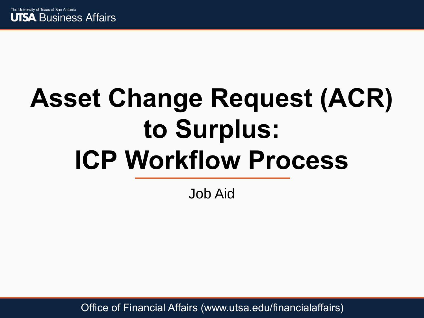

# **Asset Change Request (ACR) to Surplus: ICP Workflow Process**

Job Aid

Office of Financial Affairs (www.utsa.edu/financialaffairs)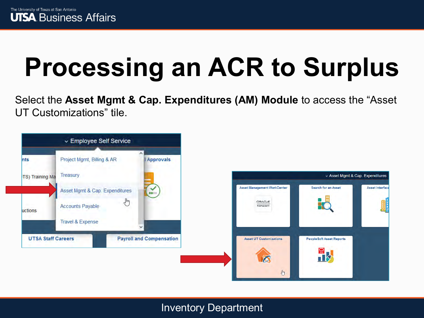## **Processing an ACR to Surplus**

Select the **Asset Mgmt & Cap. Expenditures (AM) Module** to access the "Asset UT Customizations" tile.

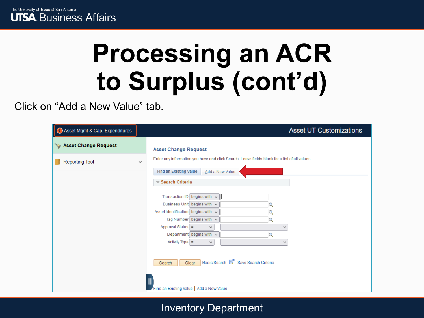

Click on "Add a New Value" tab.

| Asset Mgmt & Cap. Expenditures | <b>Asset UT Customizations</b>                                                                                                                                                                                                                                                                                                                                                                                                                                 |
|--------------------------------|----------------------------------------------------------------------------------------------------------------------------------------------------------------------------------------------------------------------------------------------------------------------------------------------------------------------------------------------------------------------------------------------------------------------------------------------------------------|
| Asset Change Request           | <b>Asset Change Request</b>                                                                                                                                                                                                                                                                                                                                                                                                                                    |
| <b>Reporting Tool</b>          | Enter any information you have and click Search. Leave fields blank for a list of all values.<br>$\checkmark$<br><b>Find an Existing Value</b>                                                                                                                                                                                                                                                                                                                 |
|                                | Add a New Value<br>Search Criteria<br>Transaction ID begins with $\sim$<br>Business Unit begins with $\vee$<br>Asset Identification begins with $\vee$<br>Tag Number begins with $\sim$<br>Q<br>Approval Status $=$<br>$\checkmark$<br>$\checkmark$<br>Department begins with $\sqrt{ }$<br>$\mathbf Q$<br>$\text{Activity Type}$ =<br>v<br>v<br>Basic Search <sup>2</sup> Save Search Criteria<br>Clear<br>Search<br>Find an Existing Value   Add a New Value |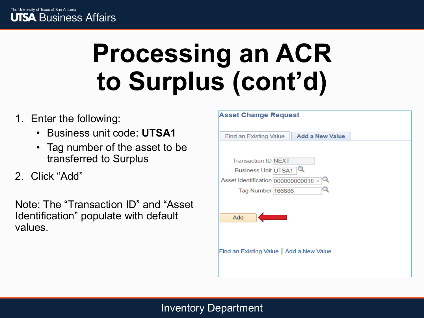- 1. Enter the following:
	- Business unit code: **UTSA1**
	- Tag number of the asset to be transferred to Surplus
- 2. Click "Add"

Note: The "Transaction ID" and "Asset Identification" populate with default values.

| <b>Asset Change Request</b>                             |  |
|---------------------------------------------------------|--|
| <b>Add a New Value</b><br><b>Find an Existing Value</b> |  |
|                                                         |  |
| <b>Transaction ID NEXT</b>                              |  |
| Business Unit UTSA1                                     |  |
| Asset Identification 0000000000018 $\times$ Q           |  |
| Tag Number 166686                                       |  |
|                                                         |  |
| Add                                                     |  |
|                                                         |  |
|                                                         |  |
|                                                         |  |
| Find an Existing Value   Add a New Value                |  |
|                                                         |  |
|                                                         |  |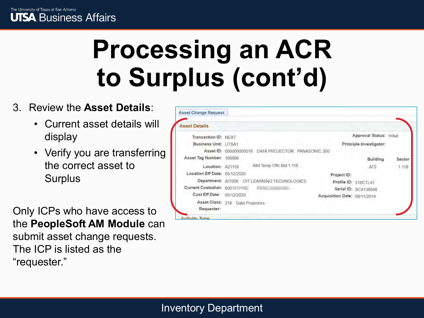#### 3. Review the **Asset Details**:

- Current asset details will display
- Verify you are transferring the correct asset to Surplus

Only ICPs who have access to the **PeopleSoft AM Module** can submit asset change requests. The ICP is listed as the "requester."

| <b>Asset Details</b>          |                                                         |                              |                          |        |
|-------------------------------|---------------------------------------------------------|------------------------------|--------------------------|--------|
| Transaction ID: NEXT          |                                                         |                              | Approval Status: Initial |        |
| Business Unit: UTSA1          |                                                         | Principle Investigator:      |                          |        |
|                               | Asset ID: 000000000018<br>DATA PROJECTOR: PANASONIC 350 |                              |                          |        |
| Asset Tag Number: 166686      |                                                         |                              | <b>Building</b>          | Sector |
| Location: A21118              | Athl Temp Offc Bld 1.118                                | AT2                          |                          | 1 118  |
| Location Eff Date: 05/12/2020 |                                                         | Project ID:                  |                          |        |
|                               | Department: AIT006 OIT LEARNING TECHNOLOGIES            | Profile ID: 218CTL41         |                          |        |
| Current Custodian: 6001       | <b>Company considers more</b>                           | Serial ID: SC4136048         |                          |        |
| Cust Eff Date: 05/12/2020     |                                                         | Acquisition Date: 06/11/2014 |                          |        |
|                               | Asset Class: 218 Data Projectors                        |                              |                          |        |
| Requester:                    |                                                         |                              |                          |        |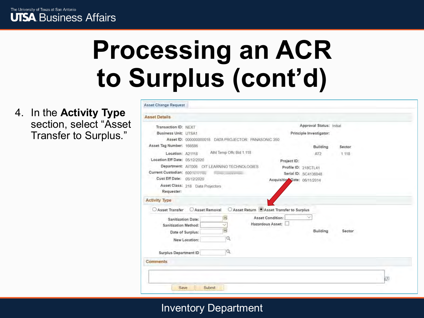**Commission Commission** 

4. In the **Activity Type**  section, select "Asset Transfer to Surplus."

| Transaction ID: NEXT          |                                                     |                                             | Approval Status: Initial |        |  |
|-------------------------------|-----------------------------------------------------|---------------------------------------------|--------------------------|--------|--|
| <b>Business Unit: UTSA1</b>   |                                                     |                                             | Principle Investigator:  |        |  |
|                               | Asset ID: 00000000018 DATA PROJECTOR: PANASONIC 350 |                                             |                          |        |  |
| Asset Tag Number: 166686      |                                                     |                                             | <b>Building</b>          | Sector |  |
| Location: A21118              | Athl Temp Offc Bld 1.118                            |                                             | AT <sub>2</sub>          | 1 118  |  |
| Location Eff Date: 05/12/2020 |                                                     | Project ID:                                 |                          |        |  |
|                               | Department: AIT006 OIT LEARNING TECHNOLOGIES        |                                             | Profile ID: 218CTL41     |        |  |
| Current Custodian: 6001.      | <b><i>Company of the Company</i></b>                |                                             | Serial ID: SC4136048     |        |  |
| Cust Eff Date: 05/12/2020     |                                                     | Acquisitio Date: 06/11/2014                 |                          |        |  |
| Requester:                    | Asset Class: 218 Data Projectors                    |                                             |                          |        |  |
| <b>Activity Type</b>          |                                                     |                                             |                          |        |  |
| Asset Transfer                | Asset Removal                                       | ○ Asset Return ● Asset Transfer to Surplus  |                          |        |  |
|                               | H<br><b>Sanitization Date:</b><br>Ŵ.                | <b>Asset Condition:</b><br>Hazardous Asset: |                          |        |  |
| <b>Sanitization Method:</b>   |                                                     |                                             | Building                 | Sector |  |
|                               | 同<br>Date of Surplus:                               |                                             |                          |        |  |
|                               | Q<br>New Location:                                  |                                             |                          |        |  |
| <b>Surplus Department ID</b>  |                                                     |                                             |                          |        |  |
| Comments                      |                                                     |                                             |                          |        |  |
|                               |                                                     |                                             |                          |        |  |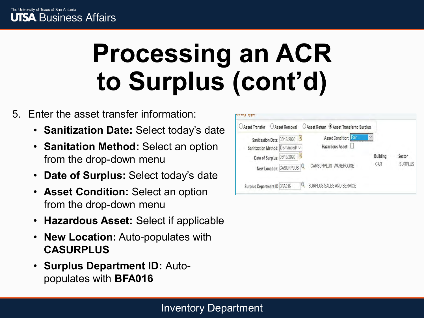#### 5. Enter the asset transfer information:

- **Sanitization Date:** Select today's date
- **Sanitation Method:** Select an option from the drop-down menu
- **Date of Surplus:** Select today's date
- **Asset Condition:** Select an option from the drop-down menu
- **Hazardous Asset:** Select if applicable
- **New Location: Auto-populates with CASURPLUS**
- **Surplus Department ID:** Autopopulates with **BFA016**

| <b>Asset Transfer</b>              | Asset Removal           | ○ Asset Return ● Asset Transfer to Surplus |          |                |
|------------------------------------|-------------------------|--------------------------------------------|----------|----------------|
| Sanitization Date: 05/13/2020      |                         | Asset Condition:                           |          |                |
| Sanitization Method: Dismantled/ V |                         | Hazardous Asset:                           |          |                |
| Date of Surplus: 05/13/2020        |                         |                                            | Building | Sector         |
|                                    | New Location: CASURPLUS | CARSURPLUS WAREHOUSE                       | CAR      | <b>SURPLUS</b> |
| Surplus Department ID BFA016       |                         | SURPLUS SALES AND SERVICE                  |          |                |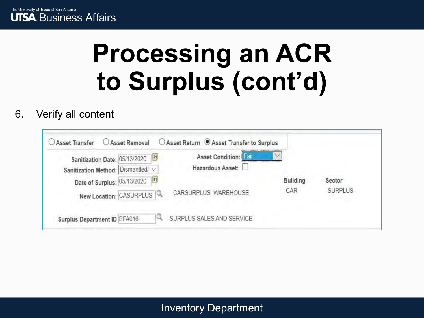

6. Verify all content

| Sanitization Date: 05/13/2020        | 31                   | <b>Asset Condition:</b> Pall |                |        |
|--------------------------------------|----------------------|------------------------------|----------------|--------|
| Sanitization Method: Dismantled/ V   |                      | Hazardous Asset:             |                |        |
| Date of Surplus: 05/13/2020          | Bt,                  |                              | Building       | Sector |
| New Location: CASURPLUS <sup>Q</sup> | CARSURPLUS WAREHOUSE | CAR                          | <b>SURPLUS</b> |        |
| Surplus Department ID BFA016         |                      | SURPLUS SALES AND SERVICE    |                |        |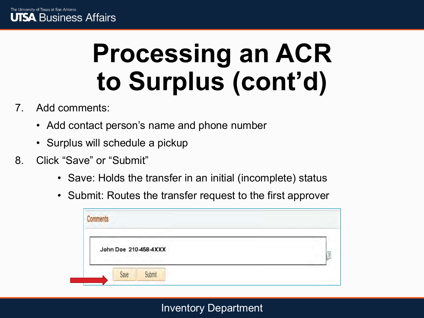- 7. Add comments:
	- Add contact person's name and phone number
	- Surplus will schedule a pickup
- 8. Click "Save" or "Submit"
	- Save: Holds the transfer in an initial (incomplete) status
	- Submit: Routes the transfer request to the first approver

| John Doe 210-458-4XXX<br>and the company's firm |  |
|-------------------------------------------------|--|
| Save.                                           |  |